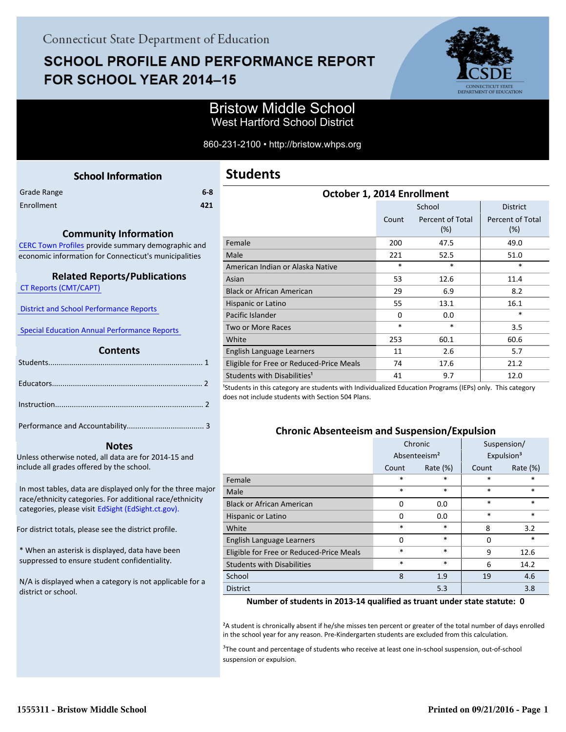# **SCHOOL PROFILE AND PERFORMANCE REPORT** FOR SCHOOL YEAR 2014-15



## Bristow Middle School West Hartford School District

#### 860-231-2100 • http://bristow.whps.org

**Students**

<span id="page-0-0"></span>

|             | <b>School Information</b> |     |
|-------------|---------------------------|-----|
| Grade Range |                           | 6-8 |
| Enrollment  |                           | 421 |
|             |                           |     |

#### **October 1, 2014 Enrollment** School | District Count Percent of Total (%) Percent of Total (%) Female 200 47.5 49.0 Male 221 52.5 51.0 American Indian or Alaska Native \* \* \* Asian 53 12.6 11.4 Black or African American 29 6.9 8.2 Hispanic or Latino  $55$  13.1 16.1 Pacific Islander 0 0.0 \* Two or More Races \* \* \* \* 3.5 White  $253$  60.1 60.6 English Language Learners 11 1 2.6 5.7 Eligible for Free or Reduced-Price Meals  $\begin{array}{ccc} 74 & 17.6 & \end{array}$  21.2 Students with Disabilities<sup>1</sup> 12.0

<sup>1</sup>Students in this category are students with Individualized Education Programs (IEPs) only. This category does not include students with Section 504 Plans.

#### **Chronic Absenteeism and Suspension/Expulsion**

|                                          | Chronic                  |             | Suspension/            |             |
|------------------------------------------|--------------------------|-------------|------------------------|-------------|
|                                          | Absenteeism <sup>2</sup> |             | Expulsion <sup>3</sup> |             |
|                                          | Count                    | Rate $(\%)$ | Count                  | Rate $(\%)$ |
| Female                                   | *                        | *           | $\ast$                 | *           |
| Male                                     | $\ast$                   | *           | $\ast$                 | $\ast$      |
| <b>Black or African American</b>         | $\Omega$                 | 0.0         | $\ast$                 | $\ast$      |
| Hispanic or Latino                       | $\Omega$                 | 0.0         | $\ast$                 | $\ast$      |
| White                                    | $\ast$                   | $\ast$      | 8                      | 3.2         |
| English Language Learners                | $\Omega$                 | $\ast$      | $\Omega$               | $\ast$      |
| Eligible for Free or Reduced-Price Meals | *                        | *           | 9                      | 12.6        |
| <b>Students with Disabilities</b>        | $\ast$                   | *           | 6                      | 14.2        |
| School                                   | 8                        | 1.9         | 19                     | 4.6         |
| <b>District</b>                          |                          | 5.3         |                        | 3.8         |

#### **Number of students in 2013-14 qualified as truant under state statute: 0**

²A student is chronically absent if he/she misses ten percent or greater of the total number of days enrolled in the school year for any reason. Pre-Kindergarten students are excluded from this calculation.

<sup>3</sup>The count and percentage of students who receive at least one in-school suspension, out-of-school suspension or expulsion.

### **Community Information**

[CERC Town Profiles provide summary demographic and](http://www.cerc.com/townprofiles/) economic information for Connecticut's municipalities

#### **Related Reports/Publications**

 [CT Reports \(CMT/CAPT\)](http://ctreports.com/) 

| District and School Performance Reports |
|-----------------------------------------|
|-----------------------------------------|

 [Special Education Annual Performance Reports](http://edsight.ct.gov/SASPortal/main.do) 

#### **Contents**

 **Notes**

Unless otherwise noted, all data are for 2014-15 and include all grades offered by the school.

[In most tables, data are displayed only for the three major](http://edsight.ct.gov) race/ethnicity categories. For additional race/ethnicity categories, please visit EdSight (EdSight.ct.gov).

For district totals, please see the district profile.

\* When an asterisk is displayed, data have been suppressed to ensure student confidentiality.

N/A is displayed when a category is not applicable for a district or school.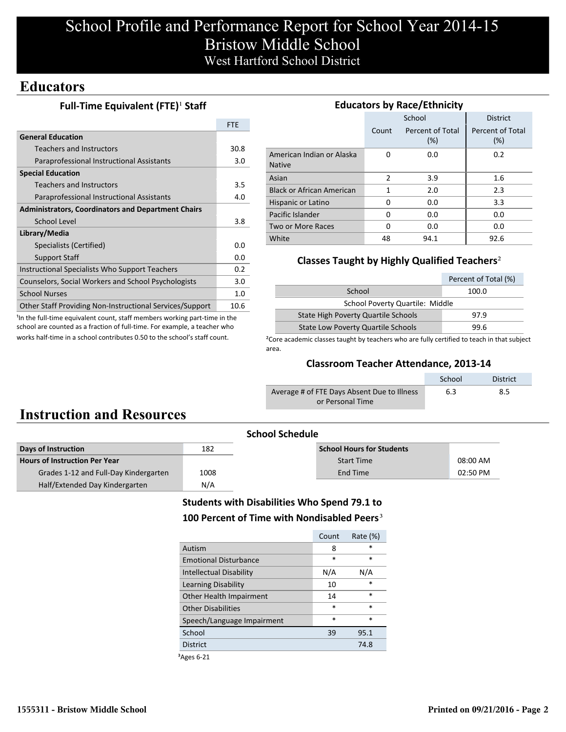# School Profile and Performance Report for School Year 2014-15 Bristow Middle School West Hartford School District

## **Educators**

### **Full-Time Equivalent (FTE)<sup>1</sup> Staff**

|                                                           | <b>FTF</b> |  |
|-----------------------------------------------------------|------------|--|
| <b>General Education</b>                                  |            |  |
| <b>Teachers and Instructors</b>                           | 30.8       |  |
| Paraprofessional Instructional Assistants                 | 3.0        |  |
| <b>Special Education</b>                                  |            |  |
| Teachers and Instructors                                  | 3.5        |  |
| Paraprofessional Instructional Assistants                 | 4.0        |  |
| <b>Administrators, Coordinators and Department Chairs</b> |            |  |
| School Level                                              | 3.8        |  |
| Library/Media                                             |            |  |
| Specialists (Certified)                                   | 0.0        |  |
| <b>Support Staff</b>                                      | 0.0        |  |
| Instructional Specialists Who Support Teachers            |            |  |
| Counselors, Social Workers and School Psychologists       |            |  |
| <b>School Nurses</b>                                      | 1.0        |  |
| Other Staff Providing Non-Instructional Services/Support  | 10.6       |  |

<sup>1</sup>In the full-time equivalent count, staff members working part-time in the school are counted as a fraction of full-time. For example, a teacher who works half-time in a school contributes 0.50 to the school's staff count.

| <b>Educators by Race/Ethnicity</b>         |                                  |        |                         |  |  |  |
|--------------------------------------------|----------------------------------|--------|-------------------------|--|--|--|
|                                            |                                  | School | <b>District</b>         |  |  |  |
|                                            | Percent of Total<br>Count<br>(%) |        | Percent of Total<br>(%) |  |  |  |
| American Indian or Alaska<br><b>Native</b> | O                                | 0.0    | 0.2                     |  |  |  |
| Asian                                      | $\overline{2}$                   | 3.9    | 1.6                     |  |  |  |
| <b>Black or African American</b>           | 1                                | 2.0    | 2.3                     |  |  |  |
| Hispanic or Latino                         | 0                                | 0.0    | 3.3                     |  |  |  |
| Pacific Islander                           | 0                                | 0.0    | 0.0                     |  |  |  |
| Two or More Races                          | 0                                | 0.0    | 0.0                     |  |  |  |
| White                                      | 48                               | 94.1   | 92.6                    |  |  |  |

## **Classes Taught by Highly Qualified Teachers**²

|                                            | Percent of Total (%) |  |  |
|--------------------------------------------|----------------------|--|--|
| School                                     | 100.0                |  |  |
| School Poverty Quartile: Middle            |                      |  |  |
| <b>State High Poverty Quartile Schools</b> | 97.9                 |  |  |
| <b>State Low Poverty Quartile Schools</b>  | 99 R                 |  |  |

<sup>2</sup>Core academic classes taught by teachers who are fully certified to teach in that subject area.

#### **Classroom Teacher Attendance, 2013-14**

|                                             | School | District |
|---------------------------------------------|--------|----------|
| Average # of FTE Days Absent Due to Illness | 6.3    | 8.5      |
| or Personal Time                            |        |          |

# **Instruction and Resources**

|                                       | <b>School Schedule</b> |                                  |          |  |
|---------------------------------------|------------------------|----------------------------------|----------|--|
| Days of Instruction                   | 182                    | <b>School Hours for Students</b> |          |  |
| <b>Hours of Instruction Per Year</b>  |                        | <b>Start Time</b>                | 08:00 AM |  |
| Grades 1-12 and Full-Day Kindergarten | 1008                   | End Time                         | 02:50 PM |  |
| Half/Extended Day Kindergarten        | N/A                    |                                  |          |  |
|                                       |                        |                                  |          |  |

## **Students with Disabilities Who Spend 79.1 to** 100 Percent of Time with Nondisabled Peers<sup>3</sup>

| Count  | Rate $(\%)$ |
|--------|-------------|
| 8      | $\ast$      |
| $\ast$ | $\ast$      |
| N/A    | N/A         |
| 10     | $\ast$      |
| 14     | $\ast$      |
| $\ast$ | $\ast$      |
| $\ast$ | $\ast$      |
| 39     | 95.1        |
|        | 74.8        |
|        |             |

³Ages 6-21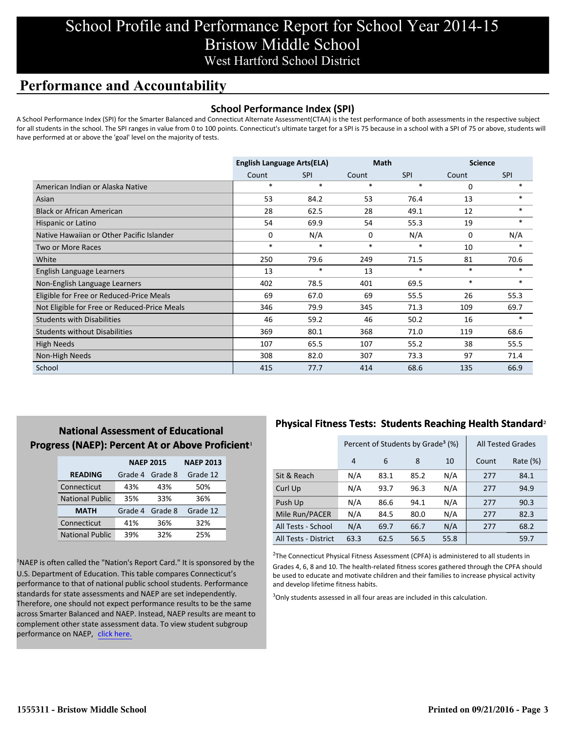# School Profile and Performance Report for School Year 2014-15 Bristow Middle School West Hartford School District

## **Performance and Accountability**

#### **School Performance Index (SPI)**

A School Performance Index (SPI) for the Smarter Balanced and Connecticut Alternate Assessment(CTAA) is the test performance of both assessments in the respective subject for all students in the school. The SPI ranges in value from 0 to 100 points. Connecticut's ultimate target for a SPI is 75 because in a school with a SPI of 75 or above, students will have performed at or above the 'goal' level on the majority of tests.

|                                              | <b>English Language Arts(ELA)</b> |            | <b>Math</b> |            | <b>Science</b> |            |
|----------------------------------------------|-----------------------------------|------------|-------------|------------|----------------|------------|
|                                              | Count                             | <b>SPI</b> | Count       | <b>SPI</b> | Count          | <b>SPI</b> |
| American Indian or Alaska Native             | $\ast$                            | $\ast$     | $\ast$      | $\ast$     | $\Omega$       | $\ast$     |
| Asian                                        | 53                                | 84.2       | 53          | 76.4       | 13             | $*$        |
| <b>Black or African American</b>             | 28                                | 62.5       | 28          | 49.1       | 12             | $\ast$     |
| Hispanic or Latino                           | 54                                | 69.9       | 54          | 55.3       | 19             | $\ast$     |
| Native Hawaiian or Other Pacific Islander    | 0                                 | N/A        | 0           | N/A        | 0              | N/A        |
| Two or More Races                            | $\ast$                            | $\ast$     | $\ast$      | $\ast$     | 10             | $\ast$     |
| White                                        | 250                               | 79.6       | 249         | 71.5       | 81             | 70.6       |
| English Language Learners                    | 13                                | $\ast$     | 13          | $\ast$     | $\ast$         | $\ast$     |
| Non-English Language Learners                | 402                               | 78.5       | 401         | 69.5       | $\ast$         | $\ast$     |
| Eligible for Free or Reduced-Price Meals     | 69                                | 67.0       | 69          | 55.5       | 26             | 55.3       |
| Not Eligible for Free or Reduced-Price Meals | 346                               | 79.9       | 345         | 71.3       | 109            | 69.7       |
| <b>Students with Disabilities</b>            | 46                                | 59.2       | 46          | 50.2       | 16             | $\ast$     |
| <b>Students without Disabilities</b>         | 369                               | 80.1       | 368         | 71.0       | 119            | 68.6       |
| <b>High Needs</b>                            | 107                               | 65.5       | 107         | 55.2       | 38             | 55.5       |
| Non-High Needs                               | 308                               | 82.0       | 307         | 73.3       | 97             | 71.4       |
| School                                       | 415                               | 77.7       | 414         | 68.6       | 135            | 66.9       |

## **National Assessment of Educational Progress (NAEP): Percent At or Above Proficient1**

|                        | <b>NAEP 2015</b>   | <b>NAEP 2013</b> |          |
|------------------------|--------------------|------------------|----------|
| <b>READING</b>         | Grade 4<br>Grade 8 |                  | Grade 12 |
| Connecticut            | 43%                | 43%              | 50%      |
| <b>National Public</b> | 35%                | 33%              | 36%      |
| <b>MATH</b>            | Grade 4            | Grade 8          | Grade 12 |
| Connecticut            | 41%                | 36%              | 32%      |
| <b>National Public</b> | 39%                | 32%              | 25%      |

<sup>1</sup>NAEP is often called the "Nation's Report Card." It is sponsored by the U.S. Department of Education. This table compares Connecticut's performance to that of national public school students. Performance standards for state assessments and NAEP are set independently. Therefore, one should not expect performance results to be the same across Smarter Balanced and NAEP. Instead, NAEP results are meant to complement other state assessment data. To view student subgroup performance on NAEP, click here.

## **Physical Fitness Tests: Students Reaching Health Standard**²

|                      | Percent of Students by Grade <sup>3</sup> (%) |      |      |      | <b>All Tested Grades</b> |          |
|----------------------|-----------------------------------------------|------|------|------|--------------------------|----------|
|                      | 4                                             | 6    | 8    | 10   | Count                    | Rate (%) |
| Sit & Reach          | N/A                                           | 83.1 | 85.2 | N/A  | 277                      | 84.1     |
| Curl Up              | N/A                                           | 93.7 | 96.3 | N/A  | 277                      | 94.9     |
| Push Up              | N/A                                           | 86.6 | 94.1 | N/A  | 277                      | 90.3     |
| Mile Run/PACER       | N/A                                           | 84.5 | 80.0 | N/A  | 277                      | 82.3     |
| All Tests - School   | N/A                                           | 69.7 | 66.7 | N/A  | 277                      | 68.2     |
| All Tests - District | 63.3                                          | 62.5 | 56.5 | 55.8 |                          | 59.7     |

 $2$ The Connecticut Physical Fitness Assessment (CPFA) is administered to all students in Grades 4, 6, 8 and 10. The health-related fitness scores gathered through the CPFA should be used to educate and motivate children and their families to increase physical activity and develop lifetime fitness habits.

<sup>3</sup>Only students assessed in all four areas are included in this calculation.